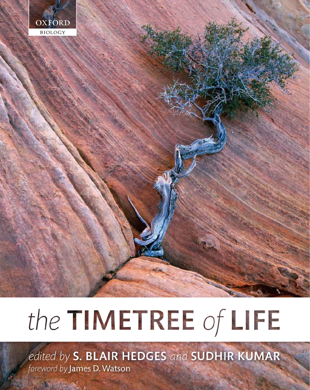

# the TIMETREE of LIFE

edited by S. BLAIR HEDGES and SUDHIR KUMAR foreword by James D. Watson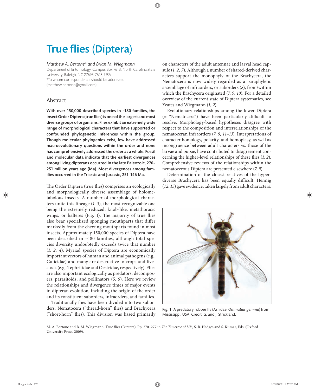## **True flies (Diptera)**

#### *Matthew A. Bertone\* and Brian M. Wiegmann*

Department of Entomology, Campus Box 7613, North Carolina State University, Raleigh, NC 27695-7613, USA \*To whom correspondence should be addressed

(matthew.bertone@gmail.com)

#### Abstract

With over 150,000 described species in  $~180$  families, the insect Order Diptera (true flies) is one of the largest and most diverse groups of organisms. Flies exhibit an extremely wide range of morphological characters that have supported or confounded phylogenetic inferences within the group. Though molecular phylogenies exist, few have addressed macroevolutionary questions within the order and none has comprehensively addressed the order as a whole. Fossil and molecular data indicate that the earliest divergences among living dipterans occurred in the late Paleozoic, 270– 251 million years ago (Ma). Most divergences among families occurred in the Triassic and Jurassic, 251–146 Ma.

The Order Diptera (true flies) comprises an ecologically and morphologically diverse assemblage of holometabolous insects. A number of morphological characters unite this lineage (*1–3*), the most recognizable one being the extremely reduced, knob-like, metathoracic wings, or halteres (Fig. 1). The majority of true flies also bear specialized sponging mouthparts that differ markedly from the chewing mouthparts found in most insects. Approximately 150,000 species of Diptera have been described in  $~180$  families, although total species diversity undoubtedly exceeds twice that number (*1, 2, 4*). Myriad species of Diptera are economically important vectors of human and animal pathogens (e.g., Culicidae) and many are destructive to crops and livestock (e.g., Tephritidae and Oestridae, respectively). Flies are also important ecologically as predators, decomposers, parasitoids, and pollinators (*5, 6*). Here we review the relationships and divergence times of major events in dipteran evolution, including the origin of the order and its constituent suborders, infraorders, and families.

Traditionally flies have been divided into two suborders: Nematocera ("thread-horn" flies) and Brachycera ("short-horn" flies). This division was based primarily on characters of the adult antennae and larval head capsule (*1, 2, 7*). Although a number of shared-derived characters support the monophyly of the Brachycera, the Nematocera is now widely regarded as a paraphyletic assemblage of infraorders, or suborders (*8*), from/within which the Brachycera originated (*7, 9, 10*). For a detailed overview of the current state of Diptera systematics, see Yeates and Wiegmann (*1, 2*).

Evolutionary relationships among the lower Diptera  $($ = "Nematocera") have been particularly difficult to resolve. Morphology-based hypotheses disagree with respect to the composition and interrelationships of the nematoceran infraorders (*7, 9, 11–13*). Interpretations of character homology, polarity, and homoplasy, as well as incongruence between adult characters vs. those of the larvae and pupae, have contributed to disagreement concerning the higher-level relationships of these flies  $(1, 2)$ . Comprehensive reviews of the relationships within the nematocerous Diptera are presented elsewhere (*7*, *9*).

Determination of the closest relatives of the hyper diverse Brachycera has been equally difficult. Hennig (*12, 13*) gave evidence, taken largely from adult characters,



Fig. 1 A predatory robber fly (Asilidae: Ommatius gemma) from Mississippi, USA. Credit: G. and J. Strickland.

M. A. Bertone and B. M. Wiegmann. True flies (Diptera). Pp. 270-277 in *The Timetree of Life*, S. B. Hedges and S. Kumar, Eds. (Oxford University Press, 2009).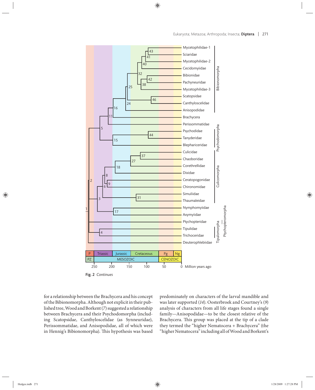

Fig. 2 *Continues*

for a relationship between the Brachycera and his concept of the Bibionomorpha. Although not explicit in their published tree, Wood and Borkent (*7*) suggested a relationship between Brachycera and their Psychodomorpha (including Scatopsidae, Canthyloscelidae (as Synneuridae), Perissommatidae, and Anisopodidae, all of which were in Hennig's Bibionomorpha). This hypothesis was based

predominately on characters of the larval mandible and was later supported (*14*). Oosterbroek and Courtney's (*9*) analysis of characters from all life stages found a single family—Anisopodidae—to be the closest relative of the Brachycera. This group was placed at the tip of a clade they termed the "higher Nematocera + Brachycera" (the "higher Nematocera" including all of Wood and Borkent's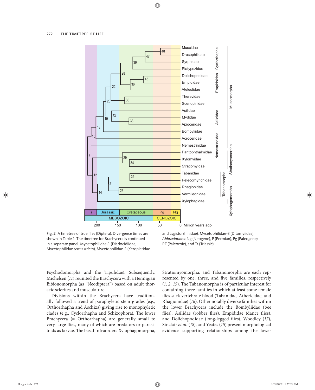

Fig. 2 A timetree of true flies (Diptera). Divergence times are shown in Table 1. The timetree for Brachycera is continued in a separate panel. Mycetophilidae-1 (Diadocidiidae, Mycetophilidae *sensu stricto*), Mycetophilidae-2 (Keroplatidae

and Lygistorrhinidae), Mycetophilidae-3 (Ditomyiidae). *Abbreviations*: Ng (Neogene), P (Permian), Pg (Paleogene), PZ (Paleozoic), and Tr (Triassic).

Psychodomorpha and the Tipulidae). Subsequently, Michelsen (*11*) reunited the Brachycera with a Hennigian Bibionomorpha (as "Neodiptera") based on adult thoracic sclerites and musculature.

Divisions within the Brachycera have traditionally followed a trend of paraphyletic stem grades (e.g., Orthorrhapha and Aschiza) giving rise to monophyletic clades (e.g., Cyclorrhapha and Schizophora). The lower Brachycera (= Orthorrhapha) are generally small to very large flies, many of which are predators or parasitoids as larvae. The basal Infraorders Xylophagomorpha, Stratiomyomorpha, and Tabanomorpha are each represented by one, three, and five families, respectively (1, 2, 15). The Tabanomorpha is of particular interest for containing three families in which at least some female flies suck vertebrate blood (Tabanidae, Athericidae, and Rhagionidae) (*16*). Other notably diverse families within the lower Brachycera include the Bombyliidae (bee flies), Asilidae (robber flies), Empididae (dance flies), and Dolichopodidae (long-legged flies). Woodley (17), Sinclair *et al.* (*18*), and Yeates (*15*) present morphological evidence supporting relationships among the lower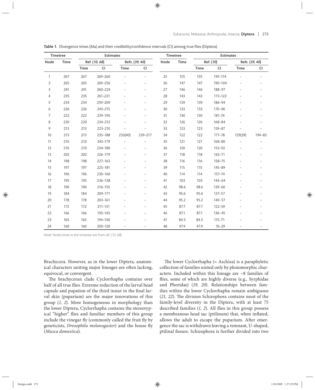| Timetree       |      | <b>Estimates</b> |             |                |                          | Timetree |      | <b>Estimates</b> |            |                |                          |
|----------------|------|------------------|-------------|----------------|--------------------------|----------|------|------------------|------------|----------------|--------------------------|
| Node           | Time | Ref. (10, 68)    |             | Refs. (39, 40) |                          | Node     | Time | Ref. (10)        |            | Refs. (39, 40) |                          |
|                |      | <b>Time</b>      | <b>CI</b>   | <b>Time</b>    | CI                       |          |      | Time             | <b>CI</b>  | Time           | CI                       |
| $\mathbf{1}$   | 267  | 267              | 269-260     |                | $\overline{a}$           | 25       | 155  | 155              | 195-114    |                | $\overline{\phantom{0}}$ |
| $\overline{2}$ | 265  | 265              | 269-256     |                |                          | 26       | 147  | 147              | 190-104    |                |                          |
| 3              | 241  | 241              | 260-224     |                |                          | 27       | 146  | 146              | 188-97     |                |                          |
| $\overline{4}$ | 235  | 235              | 261-221     |                | $\overline{\phantom{0}}$ | 28       | 143  | 143              | 173-122    |                |                          |
| 5              | 234  | 234              | 259-209     |                |                          | 29       | 139  | 139              | 186-94     |                |                          |
| 6              | 226  | 226              | 243-215     |                | $\overline{a}$           | 30       | 133  | 133              | $170 - 96$ | $\overline{a}$ | $\overline{a}$           |
| 7              | 222  | 222              | 239-195     |                |                          | 31       | 130  | 130              | 181-74     |                |                          |
| 8              | 220  | 220              | 234-212     |                |                          | 32       | 126  | 126              | 168-84     |                |                          |
| 9              | 213  | 213              | 223-210     |                |                          | 33       | 123  | 123              | 159-87     |                |                          |
| 10             | 213  | 213              | 235-188     | 233(40)        | 239-217                  | 34       | 122  | 122              | $171 - 78$ | 129(39)        | 194-83                   |
| 11             | 210  | 210              | 243-179     |                |                          | 35       | 121  | 121              | 168-80     |                |                          |
| 12             | 210  | 210              | 234-180     |                | $\overline{a}$           | 36       | 120  | 120              | $153 - 92$ |                |                          |
| 13             | 202  | 202              | 226-179     |                |                          | 37       | 118  | 118              | $163 - 71$ |                |                          |
| 14             | 198  | 198              | 227-163     |                |                          | 38       | 116  | 116              | 158-75     |                |                          |
| 15             | 197  | 197              | 225-181     |                |                          | 39       | 115  | 115              | $145 - 89$ |                |                          |
| 16             | 196  | 196              | 230-160     |                |                          | 40       | 114  | 114              | 157-74     |                |                          |
| 17             | 195  | 195              | 236-138     |                | $\overline{\phantom{0}}$ | 41       | 103  | 103              | $144 - 64$ |                |                          |
| 18             | 190  | 190              | 216-155     |                |                          | 42       | 98.6 | 98.6             | $139 - 60$ |                |                          |
| 19             | 184  | 184              | 209-171     |                |                          | 43       | 95.6 | 95.6             | $137 - 57$ |                |                          |
| 20             | 178  | 178              | $203 - 161$ |                | $\overline{a}$           | 44       | 95.2 | 95.2             | $140 - 57$ | $\overline{a}$ |                          |
| 21             | 172  | 172              | 211-131     |                |                          | 45       | 87.7 | 87.7             | 122-59     |                |                          |
| 22             | 166  | 166              | 193-143     |                |                          | 46       | 87.1 | 87.1             | $136 - 45$ |                |                          |
| 23             | 165  | 165              | 194-140     |                |                          | 47       | 84.5 | 84.5             | $115 - 71$ |                |                          |
| 24             | 160  | 160              | 200-120     |                |                          | 48       | 47.9 | 47.9             | $76 - 29$  |                |                          |

Table 1. Divergence times (Ma) and their credibility/confidence intervals (CI) among true flies (Diptera).

Note: Node times in the timetree are from ref. (10, 68).

Brachycera. However, as in the lower Diptera, anatomical characters uniting major lineages are often lacking, equivocal, or convergent.

The brachyceran clade Cyclorrhapha contains over half of all true flies. Extreme reduction of the larval head capsule and pupation of the third instar in the final larval skin (puparium) are the major innovations of this group (*1, 2*). More homogeneous in morphology than the lower Diptera, Cyclorrhapha contains the stereotypical "higher" flies and familiar members of this group include the vinegar fly (commonly called the fruit fly by geneticists, *Drosophila melanogaster*) and the house fly (*Musca domestica*).

The lower Cyclorrhapha  $(= Aschiza)$  is a paraphyletic collection of families united only by plesiomorphic characters. Included within this lineage are ~8 families of flies, some of which are highly diverse (e.g., Syrphidae and Phoridae) (*19, 20*). Relationships between families within the lower Cyclorrhapha remain ambiguous (21, 22). The division Schizophora contains most of the family-level diversity in the Diptera, with at least 75 described families (1, 2). All flies in this group possess a membranous head sac (ptilinum) that, when inflated, allows the adult to escape the puparium. After emergence the sac is withdrawn leaving a remnant, U-shaped, ptilinal fissure. Schizophora is further divided into two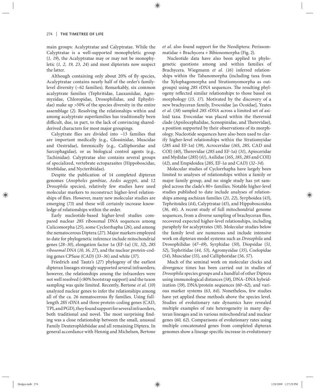main groups: Acalyptratae and Calyptratae. While the Calyptratae is a well-supported monophyletic group (*1, 19*), the Acalyptratae may or may not be monophyletic (*1, 2, 19, 23, 24*) and most dipterists now suspect the latter.

Although containing only about 20% of fly species, Acalyptratae contains nearly half of the order's familylevel diversity (~62 families). Remarkably, six common acalyptrate families (Tephritidae, Lauxaniidae, Agromyzidae, Chloropidae, Drosophilidae, and Ephydridae) make up >50% of the species diversity in the entire assemblage (*2*). Resolving the relationships within and among acalyptrate superfamilies has traditionally been difficult, due, in part, to the lack of convincing sharedderived characters for most major groupings.

Calyptrate flies are divided into  $~13$  families that are important medically (e.g., Glossinidae, Muscidae and Oestridae), forensically (e.g., Calliphoridae and Sarcophagidae), or as biological control agents (e.g., Tachinidae). Calyptratae also contains several groups of specialized, vertebrate ectoparasites (Hippoboscidae, Streblidae, and Nycteribiidae).

Despite the publication of 14 completed dipteran genomes (*Anopheles gambiae*, *Aedes aegypti*, and 12 *Drosophila* species), relatively few studies have used molecular markers to reconstruct higher-level relationships of flies. However, many new molecular studies are emerging (*73*) and these will certainly increase knowledge of relationships within the order.

Early nucleotide-based higher-level studies compared nuclear 28S ribosomal DNA sequences among Culicomorpha (*25*), some Cyclorrhapha (*26*), and among the nematocerous Diptera (*27*). Major markers employed to date for phylogenetic inference include mitochondrial genes (*28–30*), elongation factor 1*α* (EF-1*α*) (*31, 32*), *28S ribosomal DNA* (*10, 16, 27*), and the nuclear protein-coding genes CPSase (CAD) (*33–36*) and white (*37*).

Friedrich and Tautz's (*27*) phylogeny of the earliest dipteran lineages strongly supported several infraorders; however, the relationships among the infraorders were not well resolved (<80% bootstrap support) and the taxon sampling was quite limited. Recently, Bertone *et al.* (*10*) analyzed nuclear genes to infer the relationships among all of the ca. 26 nematocerous fly families. Using fulllength *28S rDNA* and three protein-coding genes (CAD, TPI, and PGD), they found support for several infraorders, both traditional and novel. The most surprising finding was a close relationship between the small, unusual Family Deuterophlebiidae and all remaining Diptera. In general accordance with Hennig and Michelsen, Bertone

*et al.* also found support for the Neodiptera: Perissommatidae + Brachycera + Bibionomorpha (Fig. 2).

Nucleotide data have also been applied to phylogenetic questions among and within families of Brachycera. Wiegmann *et al.* (*16*) inferred relationships within the Tabanomorpha (including taxa from the Xylophagomorpha and Stratiomyomorpha as outgroups) using 28S rDNA sequences. The resulting phylogeny reflected similar relationships to those based on morphology (*15, 17*). Motivated by the discovery of a new brachyceran family, Evocoidae [as Ocoidae], Yeates *et al.* (*38*) sampled *28S rDNA* across a limited set of asiloid taxa. Evocoidae was placed within the therevoid clade (Apsilocephalidae, Scenopinidae, and Therevidae), a position supported by their observations of its morphology. Nucleotide sequences have also been used to clarify higher-level relationships within the Stratiomyidae (*28S* and EF-1*α*) (*39*), Acroceridae (*16S*, *28S*, CAD and COI) (40), Therevidae (28S and EF-1α) (31), Apioceridae and Mydidae (*28S*) (*41*), Asilidae (*16S*, *18S*, *28S* and COII) (*42*), and Empidoidea (*28S*, EF-1*α* and CAD) (*32–34*).

Molecular studies of Cyclorrhapha have largely been limited to analyses of relationships within a family or major family group, and no single study has yet sampled across the clade's 80+ families. Notable higher-level studies published to date include analyses of relationships among aschizan families (*21, 22*), Syrphoidea (*43*), Tephritoidea (*44*), Calyptratae (*45*), and Hippoboscoidea (36, 46). A recent study of full mitochondrial genome sequences, from a diverse sampling of brachyceran flies, recovered expected higher-level relationships, including paraphyly for acalyptrates (*30*). Molecular studies below the family level are numerous and include intensive work on dipteran model systems such as *Drosophila* and Drosophilidae (*47–49*), Syrphidae (*50*), Diopsidae (*51, 52*), Tephritidae (*44, 53*), Agromyzidae (*35*), Coelopidae (*54*), Muscidae (*55*), and Calliphoridae (*56, 57*).

Much of the seminal work on molecular clocks and divergence times has been carried out in studies of *Drosophila* species groups and a handful of other Diptera using immunological distances (*58*), DNA–DNA hybridization (*59*), DNA/protein sequences (*60*–*62*), and various marker systems (*63, 64*). Nonetheless, few studies have yet applied these methods above the species level. Studies of evolutionary rate dynamics have revealed multiple examples of rate heterogeneity in many dipteran lineages and in various mitochondrial and nuclear genes (*60, 62*). Comparisons of evolutionary rates using multiple concatenated genes from completed dipteran genomes show a lineage specific increase in evolutionary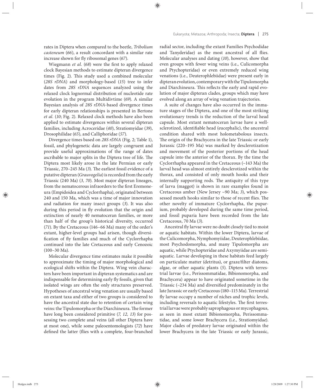rates in Diptera when compared to the beetle, *Tribolium casteneum* (*66*), a result concordant with a similar rate increase shown for fly ribosomal genes (67).

Wiegmann *et al.* (68) were the first to apply relaxed clock Bayesian methods to estimate dipteran divergence times (Fig. 2). This study used a combined molecular (*28S rDNA*) and morphology-based (*15*) tree to infer dates from 28S *rDNA* sequences analyzed using the relaxed clock lognormal distribution of nucleotide rate evolution in the program Multidivtime (*69*). A similar Bayesian analysis of *28S rDNA*-based divergence times for early dipteran relationships is presented in Bertone *et al.* (*10*; Fig. 2). Relaxed clock methods have also been applied to estimate divergences within several dipteran families, including Acroceridae (*40*), Stratiomyidae (*39*), Drosophilidae (*65*), and Calliphoridae (*57*).

Divergence times based on *28S rDNA* (Fig. 2; Table 1), fossil, and phylogenetic data are largely congruent and provide useful approximations of the range of dates ascribable to major splits in the Diptera tree of life. The Diptera most likely arose in the late Permian or early Triassic, 270-245 Ma (3). The earliest fossil evidence of a putative dipteran (*Grauvogelia*) is recorded from the early Triassic (240 Ma) (*3, 70*). Most major dipteran lineages, from the nematocerous infraorders to the first Eremoneura (Empidoidea and Cyclorrhapha), originated between 240 and 150 Ma, which was a time of major innovation and radiation for many insect groups (*3*). It was also during this period in fly evolution that the origin and extinction of nearly 40 nematoceran families, or more than half of the group's historical diversity, occurred (*71*). By the Cretaceous (146–66 Ma) many of the order's extant, higher-level groups had arisen, though diversification of fly families and much of the Cyclorrhapha continued into the late Cretaceous and early Cenozoic (100–30 Ma).

Molecular divergence time estimates make it possible to approximate the timing of major morphological and ecological shifts within the Diptera. Wing vein characters have been important in dipteran systematics and are indispensable for determining early fly fossils, given that isolated wings are often the only structures preserved. Hypotheses of ancestral wing venation are usually based on extant taxa and either of two groups is considered to have the ancestral state due to retention of certain wing veins: the Tipulomorpha or the Diarchineura. The former have long been considered primitive (*7, 12, 13*) for possessing two complete anal veins (all other Diptera have at most one), while some paleoentomologists (*72*) have defined the latter (flies with a complete, four-branched

radial sector, including the extant Families Psychodidae and Tanyderidae) as the most ancestral of all flies. Molecular analyses and dating (*10*), however, show that even groups with fewer wing veins (i.e., Culicomorpha and Ptychopteridae) or even extremely reduced wing venations (i.e., Deuterophlebiidae) were present early in dipteran evolution, contemporary with the Tipulomorpha and Diarchineura. This reflects the early and rapid evolution of major dipteran clades, groups which may have evolved along an array of wing venation trajectories.

A suite of changes have also occurred in the immature stages of the Diptera, and one of the most striking evolutionary trends is the reduction of the larval head capsule. Most extant nematoceran larvae have a wellsclerotized, identifiable head (eucephalic), the ancestral condition shared with most holometabolous insects. The origin of the Brachycera in the late Triassic or early Jurassic (220–195 Ma) was marked by desclerotization and movement of the posterior portions of the head capsule into the anterior of the thorax. By the time the Cyclorrhapha appeared in the Cretaceous (~143 Ma) the larval head was almost entirely desclerotized within the thorax, and consisted of only mouth hooks and their internally supporting rods. The antiquity of this type of larva (maggot) is shown in rare examples found in Cretaceous amber (New Jersey ~90 Ma; *3*), which possessed mouth hooks similar to those of recent flies. The other novelty of immature Cyclorrhapha, the puparium, probably developed during the same time period, and fossil puparia have been recorded from the late Cretaceous, 70 Ma (*3*).

Ancestral fly larvae were no doubt closely tied to moist or aquatic habitats. Within the lower Diptera, larvae of the Culicomorpha, Nymphomyiidae, Deuterophlebiidae, most Psychodomorpha, and many Tipulomorpha are aquatic, while Ptychopteridae and Axymyiidae are semiaquatic. Larvae developing in these habitats feed largely on particulate matter (detritus), or graze/filter diatoms, algae, or other aquatic plants (*5*). Diptera with terrestrial larvae (i.e., Perissommatidae, Bibionomorpha, and Brachycera) appear to have originated sometime in the Triassic  $(-234 \text{ Ma})$  and diversified predominately in the late Jurassic or early Cretaceous (180–115 Ma). Terrestrial fly larvae occupy a number of niches and trophic levels, including reversals to aquatic lifestyles. The first terrestrial larvae were probably saprophagous or mycophagous, as seen in most extant Bibionomorpha, Perissommatidae, and some lower Brachycera (i.e., Stratiomyidae). Major clades of predatory larvae originated within the lower Brachycera in the late Triassic or early Jurassic,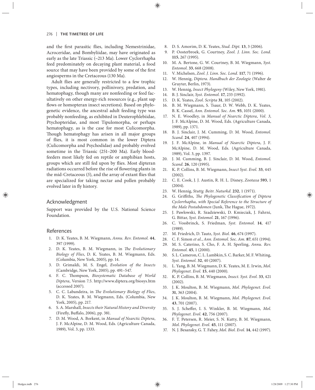and the first parasitic flies, including Nemestrinidae, Acroceridae, and Bombyliidae, may have originated as early as the late Triassic (~213 Ma). Lower Cyclorrhapha feed predominately on decaying plant material, a food source that may have been provided by some of the first angiosperms in the Cretaceous (130 Ma).

Adult flies are generally restricted to a few trophic types, including nectivory, pollinivory, predation, and hematophagy, though many are nonfeeding or feed facultatively on other energy-rich resources (e.g., plant sap flows or homopteran insect secretions). Based on phylogenetic evidence, the ancestral adult feeding type was probably nonfeeding, as exhibited in Deuterophlebiidae, Ptychopteridae, and most Tipulomorpha, or perhaps hematophagy, as is the case for most Culicomorpha. Though hematophagy has arisen in all major groups of flies, it is most common in the lower Diptera (Culicomorpha and Psychodidae) and probably evolved sometime in the Triassic (251–200 Ma). Early bloodfeeders most likely fed on reptile or amphibian hosts, groups which are still fed upon by flies. Most dipteran radiations occurred before the rise of flowering plants in the mid-Cretaceous (5), and the array of extant flies that are specialized for taking nectar and pollen probably evolved later in fly history.

### Acknowledgment

Support was provided by the U.S. National Science Foundation.

#### References

- 1. D. K. Yeates, B. M. Wiegmann, *Annu. Rev. Entomol.* **44**, 397 (1999).
- 2. D. K. Yeates, B. M. Wiegmann, in *The Evolutionary Biology of Flies*, D. K. Yeates, B. M. Wiegmann, Eds. (Columbia, New York, 2005), pp. 14.
- 3. D. Grimaldi, M. S. Engel, *Evolution of the Insects* (Cambridge, New York, 2005), pp. 491–547.
- 4. F. C. Thompson, *Biosystematic Database of World Diptera*, Version 7.5. http://www.diptera.org/biosys.htm (accessed 2007).
- 5. C. C. Labandeira, in *The Evolutionary Biology of Flies*, D. K. Yeates, B. M. Wiegmann, Eds. (Columbia, New York, 2005), pp. 217.
- 6. S. A. Marshall, *Insects their Natural History and Diversity* (Firefly, Buffalo, 2006), pp. 381.
- 7. D. M. Wood, A. Borkent, in *Manual of Nearctic Diptera*, J. F. McAlpine, D. M. Wood, Eds. (Agriculture Canada, 1989), Vol. 3, pp. 1333.
- 8. D. S. Amorim, D. K. Yeates, *Stud. Dipt.* **13**, 3 (2006).
- 9. P. Oosterbroek, G. Courtney, Zool. J. Linn. Soc. Lond. **115**, 267 (1995).
- 10. M. A. Bertone, G. W. Courtney, B. M. Wiegmann, *Syst. Entomol*. **33**, 668 (2008).
- 11. V. Michelsen, *Zool. J. Linn. Soc. Lond.* **117**, 71 (1996).
- 12. W. Hennig, *Diptera*. *Handbuch der Zoologie* (Walter de Gruyter, Berlin, 1973).
- 13. W. Hennig, *Insect Phylogeny* (Wiley, New York, 1981).
- 14. B. J. Sinclair, *Syst. Entomol.* **17**, 233 (1992).
- 15. D. K. Yeates, *Zool. Scripta* **31**, 105 (2002).
- 16. B. M. Wiegmann, S. Tsaur, D. W. Webb, D. K. Yeates, B. K. Cassel, *Ann. Entomol. Soc. Am.* **93**, 1031 (2000).
- 17. N. E. Woodley, in *Manual of Nearctic Diptera*, *Vol. 3*, J. F. McAlpine, D. M. Wood, Eds. (Agriculture Canada, 1989), pp. 1371.
- 18. B. J. Sinclair, J. M. Cumming, D. M. Wood, *Entomol. Scand.* **24**, 407 (1994).
- 19. J. F. McAlpine, in *Manual of Nearctic Diptera*, J. F. McAlpine, D. M. Wood, Eds. (Agriculture Canada, 1989), Vol. 3, pp. 1397.
- 20. J. M. Cu mming, B. J. Sinclair, D. M. Wood, *Entomol. Scand.* **26**, 120 (1995).
- 21. K. P. Collins, B. M. Wiegmann, *Insect Syst. Evol.* **33**, 445 (2002).
- 22. C. E. Cook, J. J. Austin, R. H. L. Disney, *Zootaxa* **593**, 1 (2004).
- 23. W. Hennig, *Stuttg. Beitr. Naturkd.* **232**, 1 (1971).
- 24. G. Griffiths, *The Phylogenetic Classification of Diptera Cyclorrhapha, with Special Reference to the Structure of the Male Postabdomen* (Junk, The Hague, 1972).
- 25. J. Pawlowski, R. Szadziewski, D. Kmieciak, J. Fahrni, G. Bittar, *Syst. Entomol.* **21**, 167 (1996).
- 26. C. Vossbrinck, S. Friedman, *Syst. Entomol*. **14**, 417 (1989).
- 27. M. Friedrich, D. Tautz, *Syst. Biol.* **46**, 674 (1997).
- 28. C. F. Simon *et al.*, *Ann. Entomol. Soc. Am.* **87**, 651 (1994).
- 29. M. S. Caterino, S. Cho, F. A. H. Sperling, *Annu. Rev. Entomol.* **45**, 1 (2000).
- 30. S. L. Cameron, C. L. Lambkin, S. C. Barker, M. F. Whiting, *Syst. Entomol.* **32**, 40 (2007).
- 31. L. Yang, B. M. Wiegmann, D. K. Yeates, M. E. Irwin, *Mol. Phylogenet. Evol.* **15**, 440 (2000).
- 32. K. P. Collins, B. M. Wiegmann, *Insect. Syst. Evol.* **33**, 421 (2002).
- 33. J. K. Moulton, B. M. Wiegmann, *Mol. Phylogenet. Evol.* **31**, 363 (2004).
- 34. J. K. Moulton, B. M. Wiegmann, *Mol. Phylogenet. Evol.* **43**, 701 (2007).
- 35. S. J. Scheffer, I. S. Winkler, B. M. Wiegmann, *Mol. Phylogenet. Evol.* **42**, 756 (2007).
- 36. F. T. Petersen, R. Meier, S. N. Kutty, B. M. Wiegmann, *Mol. Phylogenet. Evol.* **45**, 111 (2007).
- 37. N. J. Besansky, G. T. Fahey, *Mol. Biol. Evol.* **14**, 442 (1997).